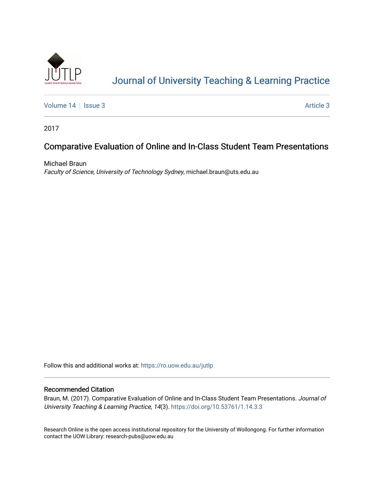

# [Journal of University Teaching & Learning Practice](https://ro.uow.edu.au/jutlp)

[Volume 14](https://ro.uow.edu.au/jutlp/vol14) | [Issue 3](https://ro.uow.edu.au/jutlp/vol14/iss3) Article 3

2017

# Comparative Evaluation of Online and In-Class Student Team Presentations

Michael Braun Faculty of Science, University of Technology Sydney, michael.braun@uts.edu.au

Follow this and additional works at: [https://ro.uow.edu.au/jutlp](https://ro.uow.edu.au/jutlp?utm_source=ro.uow.edu.au%2Fjutlp%2Fvol14%2Fiss3%2F3&utm_medium=PDF&utm_campaign=PDFCoverPages) 

## Recommended Citation

Braun, M. (2017). Comparative Evaluation of Online and In-Class Student Team Presentations. Journal of University Teaching & Learning Practice, 14(3).<https://doi.org/10.53761/1.14.3.3>

Research Online is the open access institutional repository for the University of Wollongong. For further information contact the UOW Library: research-pubs@uow.edu.au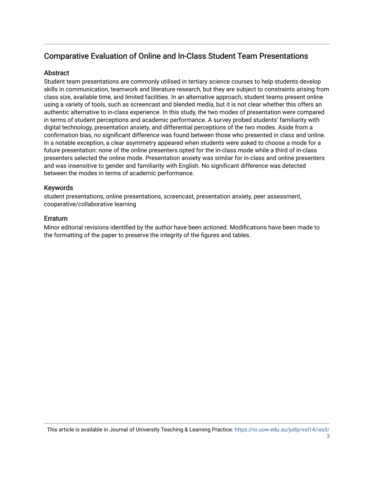## Comparative Evaluation of Online and In-Class Student Team Presentations

## Abstract

Student team presentations are commonly utilised in tertiary science courses to help students develop skills in communication, teamwork and literature research, but they are subject to constraints arising from class size, available time, and limited facilities. In an alternative approach, student teams present online using a variety of tools, such as screencast and blended media, but it is not clear whether this offers an authentic alternative to in-class experience. In this study, the two modes of presentation were compared in terms of student perceptions and academic performance. A survey probed students' familiarity with digital technology, presentation anxiety, and differential perceptions of the two modes. Aside from a confirmation bias, no significant difference was found between those who presented in class and online. In a notable exception, a clear asymmetry appeared when students were asked to choose a mode for a future presentation: none of the online presenters opted for the in-class mode while a third of in-class presenters selected the online mode. Presentation anxiety was similar for in-class and online presenters and was insensitive to gender and familiarity with English. No significant difference was detected between the modes in terms of academic performance.

## Keywords

student presentations, online presentations, screencast, presentation anxiety, peer assessment, cooperative/collaborative learning

## Erratum

Minor editorial revisions identified by the author have been actioned. Modifications have been made to the formatting of the paper to preserve the integrity of the figures and tables.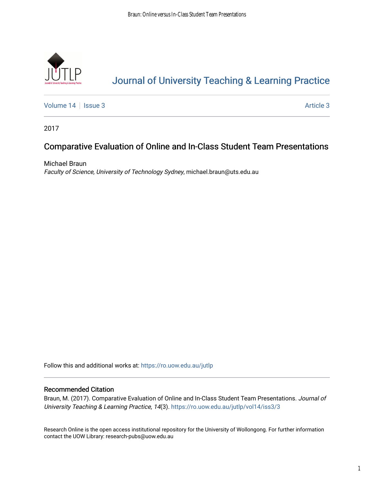

# [Journal of University Teaching & Learning Practice](https://ro.uow.edu.au/jutlp)

[Volume 14](https://ro.uow.edu.au/jutlp/vol14) | [Issue 3](https://ro.uow.edu.au/jutlp/vol14/iss3) Article 3

2017

## Comparative Evaluation of Online and In-Class Student Team Presentations

Michael Braun Faculty of Science, University of Technology Sydney, michael.braun@uts.edu.au

Follow this and additional works at: [https://ro.uow.edu.au/jutlp](https://ro.uow.edu.au/jutlp?utm_source=ro.uow.edu.au%2Fjutlp%2Fvol14%2Fiss3%2F3&utm_medium=PDF&utm_campaign=PDFCoverPages) 

## Recommended Citation

Braun, M. (2017). Comparative Evaluation of Online and In-Class Student Team Presentations. Journal of University Teaching & Learning Practice, 14(3). [https://ro.uow.edu.au/jutlp/vol14/iss3/3](https://ro.uow.edu.au/jutlp/vol14/iss3/3?utm_source=ro.uow.edu.au%2Fjutlp%2Fvol14%2Fiss3%2F3&utm_medium=PDF&utm_campaign=PDFCoverPages) 

Research Online is the open access institutional repository for the University of Wollongong. For further information contact the UOW Library: research-pubs@uow.edu.au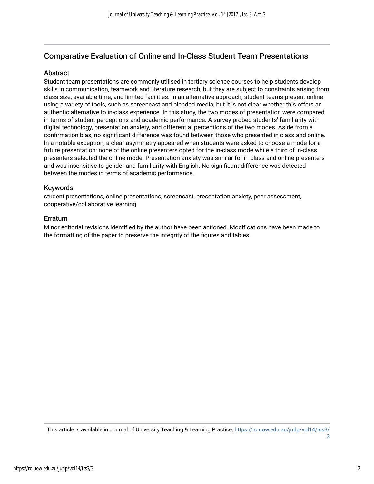## Comparative Evaluation of Online and In-Class Student Team Presentations

## Abstract

Student team presentations are commonly utilised in tertiary science courses to help students develop skills in communication, teamwork and literature research, but they are subject to constraints arising from class size, available time, and limited facilities. In an alternative approach, student teams present online using a variety of tools, such as screencast and blended media, but it is not clear whether this offers an authentic alternative to in-class experience. In this study, the two modes of presentation were compared in terms of student perceptions and academic performance. A survey probed students' familiarity with digital technology, presentation anxiety, and differential perceptions of the two modes. Aside from a confirmation bias, no significant difference was found between those who presented in class and online. In a notable exception, a clear asymmetry appeared when students were asked to choose a mode for a future presentation: none of the online presenters opted for the in-class mode while a third of in-class presenters selected the online mode. Presentation anxiety was similar for in-class and online presenters and was insensitive to gender and familiarity with English. No significant difference was detected between the modes in terms of academic performance.

## Keywords

student presentations, online presentations, screencast, presentation anxiety, peer assessment, cooperative/collaborative learning

## Erratum

Minor editorial revisions identified by the author have been actioned. Modifications have been made to the formatting of the paper to preserve the integrity of the figures and tables.

This article is available in Journal of University Teaching & Learning Practice: [https://ro.uow.edu.au/jutlp/vol14/iss3/](https://ro.uow.edu.au/jutlp/vol14/iss3/3)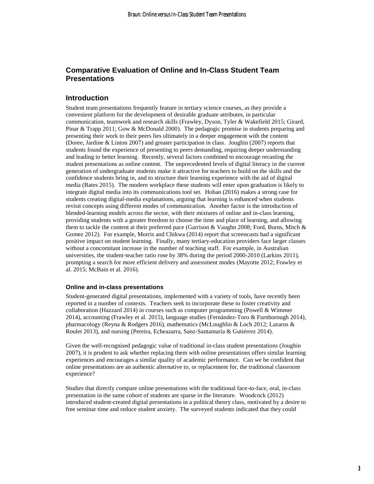## **Comparative Evaluation of Online and In-Class Student Team Presentations**

## **Introduction**

Student team presentations frequently feature in tertiary science courses, as they provide a convenient platform for the development of desirable graduate attributes, in particular communication, teamwork and research skills (Frawley, Dyson, Tyler & Wakefield 2015; Girard, Pinar & Trapp 2011; Gow & McDonald 2000). The pedagogic promise in students preparing and presenting their work to their peers lies ultimately in a deeper engagement with the content (Doree, Jardine & Linton 2007) and greater participation in class. Joughin (2007) reports that students found the experience of presenting to peers demanding, requiring deeper understanding and leading to better learning. Recently, several factors combined to encourage recasting the student presentations as online content. The unprecedented levels of digital literacy in the current generation of undergraduate students make it attractive for teachers to build on the skills and the confidence students bring in, and to structure their learning experience with the aid of digital media (Bates 2015). The modern workplace these students will enter upon graduation is likely to integrate digital media into its communications tool set. Hoban (2016) makes a strong case for students creating digital-media explanations, arguing that learning is enhanced when students revisit concepts using different modes of communication. Another factor is the introduction of blended-learning models across the sector, with their mixtures of online and in-class learning, providing students with a greater freedom to choose the time and place of learning, and allowing them to tackle the content at their preferred pace (Garrison & Vaughn 2008; Ford, Burns, Mitch & Gomez 2012). For example, Morris and Chikwa (2014) report that screencasts had a significant positive impact on student learning. Finally, many tertiary-education providers face larger classes without a concomitant increase in the number of teaching staff. For example, in Australian universities, the student-teacher ratio rose by 38% during the period 2000-2010 (Larkins 2011), prompting a search for more efficient delivery and assessment modes (Mayotte 2012; Frawley et al. 2015; McBain et al. 2016).

#### **Online and in-class presentations**

Student-generated digital presentations, implemented with a variety of tools, have recently been reported in a number of contexts. Teachers seek to incorporate these to foster creativity and collaboration (Hazzard 2014) in courses such as computer programming (Powell & Wimmer 2014), accounting (Frawley et al*.* 2015), language studies (Fernández-Toro & Furnborough 2014), pharmacology (Reyna & Rodgers 2016), mathematics (McLoughlin & Loch 2012; Lazarus & Roulet 2013), and nursing (Pereira, Echeazarra, Sanz-Santamaría & Gutiérrez 2014).

Given the well-recognised pedagogic value of traditional in-class student presentations (Joughin 2007), it is prudent to ask whether replacing them with online presentations offers similar learning experiences and encourages a similar quality of academic performance. Can we be confident that online presentations are an authentic alternative to, or replacement for, the traditional classroom experience?

Studies that directly compare online presentations with the traditional face-to-face, oral, in-class presentation in the same cohort of students are sparse in the literature. Woodcock (2012) introduced student-created digital presentations in a political theory class, motivated by a desire to free seminar time and reduce student anxiety. The surveyed students indicated that they could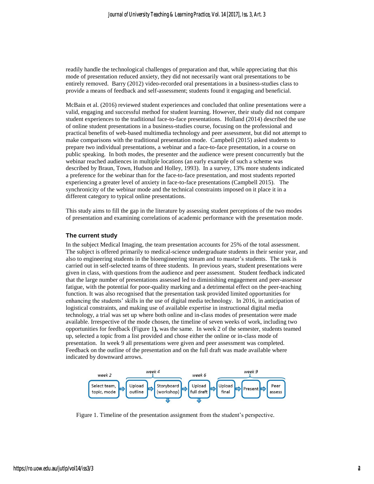readily handle the technological challenges of preparation and that, while appreciating that this mode of presentation reduced anxiety, they did not necessarily want oral presentations to be entirely removed. Barry (2012) video-recorded oral presentations in a business-studies class to provide a means of feedback and self-assessment; students found it engaging and beneficial.

McBain et al. (2016) reviewed student experiences and concluded that online presentations were a valid, engaging and successful method for student learning. However, their study did not compare student experiences to the traditional face-to-face presentations. Holland (2014) described the use of online student presentations in a business-studies course, focusing on the professional and practical benefits of web-based multimedia technology and peer assessment, but did not attempt to make comparisons with the traditional presentation mode. Campbell (2015) asked students to prepare two individual presentations, a webinar and a face-to-face presentation, in a course on public speaking. In both modes, the presenter and the audience were present concurrently but the webinar reached audiences in multiple locations (an early example of such a scheme was described by Braun, Town, Hudson and Holley, 1993). In a survey, 13% more students indicated a preference for the webinar than for the face-to-face presentation, and most students reported experiencing a greater level of anxiety in face-to-face presentations (Campbell 2015). The synchronicity of the webinar mode and the technical constraints imposed on it place it in a different category to typical online presentations.

This study aims to fill the gap in the literature by assessing student perceptions of the two modes of presentation and examining correlations of academic performance with the presentation mode.

#### **The current study**

In the subject Medical Imaging, the team presentation accounts for 25% of the total assessment. The subject is offered primarily to medical-science undergraduate students in their senior year, and also to engineering students in the bioengineering stream and to master's students. The task is carried out in self-selected teams of three students. In previous years, student presentations were given in class, with questions from the audience and peer assessment. Student feedback indicated that the large number of presentations assessed led to diminishing engagement and peer-assessor fatigue, with the potential for poor-quality marking and a detrimental effect on the peer-teaching function. It was also recognised that the presentation task provided limited opportunities for enhancing the students' skills in the use of digital media technology. In 2016, in anticipation of logistical constraints, and making use of available expertise in instructional digital media technology, a trial was set up where both online and in-class modes of presentation were made available. Irrespective of the mode chosen, the timeline of seven weeks of work, including two opportunities for feedback [\(Figure](#page-5-0) 1**),** was the same. In week 2 of the semester, students teamed up, selected a topic from a list provided and chose either the online or in-class mode of presentation. In week 9 all presentations were given and peer assessment was completed. Feedback on the outline of the presentation and on the full draft was made available where indicated by downward arrows.



<span id="page-5-0"></span>Figure 1. Timeline of the presentation assignment from the student's perspective.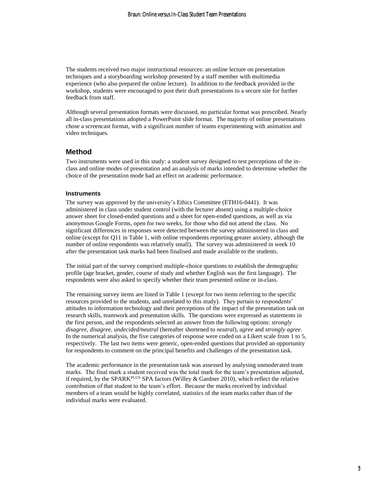The students received two major instructional resources: an online lecture on presentation techniques and a storyboarding workshop presented by a staff member with multimedia experience (who also prepared the online lecture). In addition to the feedback provided in the workshop, students were encouraged to post their draft presentations to a secure site for further feedback from staff.

Although several presentation formats were discussed, no particular format was prescribed. Nearly all in-class presentations adopted a PowerPoint slide format. The majority of online presentations chose a screencast format, with a significant number of teams experimenting with animation and video techniques.

#### **Method**

Two instruments were used in this study: a student survey designed to test perceptions of the inclass and online modes of presentation and an analysis of marks intended to determine whether the choice of the presentation mode had an effect on academic performance.

#### **Instruments**

The survey was approved by the university's Ethics Committee (ETH16-0441). It was administered in class under student control (with the lecturer absent) using a multiple-choice answer sheet for closed-ended questions and a sheet for open-ended questions, as well as via anonymous Google Forms, open for two weeks, for those who did not attend the class. No significant differences in responses were detected between the survey administered in class and online (except for Q11 in Table 1, with online respondents reporting greater anxiety, although the number of online respondents was relatively small). The survey was administered in week 10 after the presentation task marks had been finalised and made available to the students.

The initial part of the survey comprised multiple-choice questions to establish the demographic profile (age bracket, gender, course of study and whether English was the first language). The respondents were also asked to specify whether their team presented online or in-class.

The remaining survey items are listed in Table 1 (except for two items referring to the specific resources provided to the students, and unrelated to this study). They pertain to respondents' attitudes to information technology and their perceptions of the impact of the presentation task on research skills, teamwork and presentation skills. The questions were expressed as statements in the first person, and the respondents selected an answer from the following options: *strongly disagree*, *disagree*, *undecided/neutral* (hereafter shortened to *neutral*), *agree* and *strongly agree*. In the numerical analysis, the five categories of response were coded on a Likert scale from 1 to 5, respectively. The last two items were generic, open-ended questions that provided an opportunity for respondents to comment on the principal benefits and challenges of the presentation task.

The academic performance in the presentation task was assessed by analysing unmoderated team marks. The final mark a student received was the total mark for the team's presentation adjusted, if required, by the SPARK<sup>PLUS</sup> SPA factors (Willey & Gardner 2010), which reflect the relative contribution of that student to the team's effort. Because the marks received by individual members of a team would be highly correlated, statistics of the team marks rather than of the individual marks were evaluated.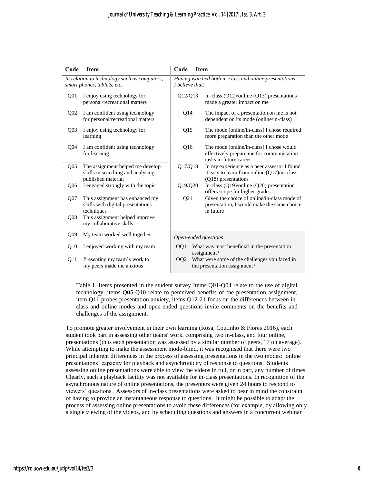| Code                                                                        | <b>Item</b>                                                                                 | Code                                                                      | <b>Item</b> |                                                                                                                        |  |
|-----------------------------------------------------------------------------|---------------------------------------------------------------------------------------------|---------------------------------------------------------------------------|-------------|------------------------------------------------------------------------------------------------------------------------|--|
| In relation to technology such as computers,<br>smart phones, tablets, etc. |                                                                                             | Having watched both in-class and online presentations,<br>I believe that: |             |                                                                                                                        |  |
| Q <sub>0</sub> 1                                                            | I enjoy using technology for<br>personal/recreational matters                               | Q12/Q13                                                                   |             | In-class $(Q12)/\text{online} (Q13)$ presentations<br>made a greater impact on me                                      |  |
| Q <sub>02</sub>                                                             | I am confident using technology<br>for personal/recreational matters                        | Q <sub>14</sub>                                                           |             | The impact of a presentation on me is not<br>dependent on its mode (online/in-class)                                   |  |
| Q <sub>03</sub>                                                             | I enjoy using technology for<br>learning                                                    | Q15                                                                       |             | The mode (online/in-class) I chose required<br>more preparation than the other mode                                    |  |
| Q04                                                                         | I am confident using technology<br>for learning                                             | Q16                                                                       |             | The mode (online/in-class) I chose would<br>effectively prepare me for communication<br>tasks in future career         |  |
| Q05                                                                         | The assignment helped me develop<br>skills in searching and analysing<br>published material | Q17/Q18                                                                   |             | In my experience as a peer assessor I found<br>it easy to learn from online $(Q17)/$ in-class<br>$(Q18)$ presentations |  |
| Q <sub>06</sub>                                                             | I engaged strongly with the topic                                                           | Q19/Q20                                                                   |             | In-class (Q19)/online (Q20) presentation<br>offers scope for higher grades                                             |  |
| Q <sub>07</sub>                                                             | This assignment has enhanced my<br>skills with digital presentations<br>techniques          | Q <sub>21</sub>                                                           |             | Given the choice of online/in-class mode of<br>presentation, I would make the same choice<br>in future                 |  |
| Q08                                                                         | This assignment helped improve<br>my collaborative skills                                   |                                                                           |             |                                                                                                                        |  |
| Q <sub>09</sub>                                                             | My team worked well together                                                                | Open-ended questions                                                      |             |                                                                                                                        |  |
| Q10                                                                         | I enjoyed working with my team                                                              | OQ1                                                                       |             | What was most beneficial in the presentation<br>assignment?                                                            |  |
| O11                                                                         | Presenting my team's work to<br>my peers made me anxious                                    | OQ <sub>2</sub>                                                           |             | What were some of the challenges you faced in<br>the presentation assignment?                                          |  |

Table 1. Items presented in the student survey Items Q01-Q04 relate to the use of digital technology, items Q05-Q10 relate to perceived benefits of the presentation assignment, item Q11 probes presentation anxiety, items Q12-21 focus on the differences between inclass and online modes and open-ended questions invite comments on the benefits and challenges of the assignment.

To promote greater involvement in their own learning (Rosa, Coutinho & Flores 2016), each student took part in assessing other teams' work, comprising two in-class, and four online, presentations (thus each presentation was assessed by a similar number of peers, 17 on average). While attempting to make the assessment mode-blind, it was recognised that there were two principal inherent differences in the process of assessing presentations in the two modes: online presentations' capacity for playback and asynchronicity of response to questions. Students assessing online presentations were able to view the videos in full, or in part, any number of times. Clearly, such a playback facility was not available for in-class presentations. In recognition of the asynchronous nature of online presentations, the presenters were given 24 hours to respond to viewers' questions. Assessors of in-class presentations were asked to bear in mind the constraint of having to provide an instantaneous response to questions. It might be possible to adapt the process of assessing online presentations to avoid these differences (for example, by allowing only a single viewing of the videos, and by scheduling questions and answers in a concurrent webinar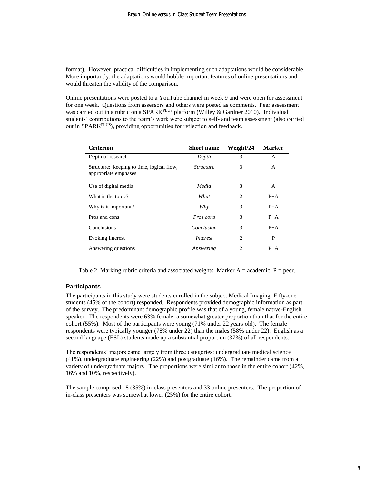format). However, practical difficulties in implementing such adaptations would be considerable. More importantly, the adaptations would hobble important features of online presentations and would threaten the validity of the comparison.

Online presentations were posted to a YouTube channel in week 9 and were open for assessment for one week. Questions from assessors and others were posted as comments. Peer assessment was carried out in a rubric on a SPARK<sup>PLUS</sup> platform (Willey & Gardner 2010). Individual students' contributions to the team's work were subject to self- and team assessment (also carried out in SPARKPLUS), providing opportunities for reflection and feedback.

| <b>Criterion</b>                                                  | <b>Short name</b> | Weight/24      | <b>Marker</b> |
|-------------------------------------------------------------------|-------------------|----------------|---------------|
| Depth of research                                                 | Depth             | 3              | A             |
| Structure: keeping to time, logical flow,<br>appropriate emphases | <i>Structure</i>  | 3              | A             |
| Use of digital media                                              | Media             | 3              | A             |
| What is the topic?                                                | What              | 2              | $P+A$         |
| Why is it important?                                              | Why               | 3              | $P+A$         |
| Pros and cons                                                     | Pros.cons         | 3              | $P+A$         |
| Conclusions                                                       | Conclusion        | 3              | $P+A$         |
| Evoking interest                                                  | Interest          | 2              | P             |
| Answering questions                                               | Answering         | $\mathfrak{D}$ | $P+A$         |

Table 2. Marking rubric criteria and associated weights. Marker  $A =$  academic,  $P =$  peer.

#### **Participants**

The participants in this study were students enrolled in the subject Medical Imaging. Fifty-one students (45% of the cohort) responded. Respondents provided demographic information as part of the survey. The predominant demographic profile was that of a young, female native-English speaker. The respondents were 63% female, a somewhat greater proportion than that for the entire cohort (55%). Most of the participants were young (71% under 22 years old). The female respondents were typically younger (78% under 22) than the males (58% under 22). English as a second language (ESL) students made up a substantial proportion (37%) of all respondents.

The respondents' majors came largely from three categories: undergraduate medical science (41%), undergraduate engineering (22%) and postgraduate (16%). The remainder came from a variety of undergraduate majors. The proportions were similar to those in the entire cohort (42%, 16% and 10%, respectively).

The sample comprised 18 (35%) in-class presenters and 33 online presenters. The proportion of in-class presenters was somewhat lower (25%) for the entire cohort.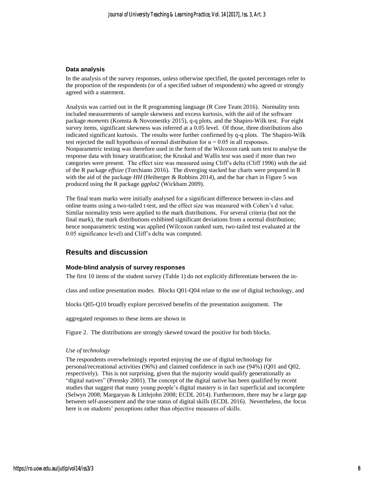#### **Data analysis**

In the analysis of the survey responses, unless otherwise specified, the quoted percentages refer to the proportion of the respondents (or of a specified subset of respondents) who agreed or strongly agreed with a statement.

Analysis was carried out in the R programming language (R Core Team 2016). Normality tests included measurements of sample skewness and excess kurtosis, with the aid of the software package *moments* (Komsta & Novomestky 2015), q-q plots, and the Shapiro-Wilk test. For eight survey items, significant skewness was inferred at a 0.05 level. Of those, three distributions also indicated significant kurtosis. The results were further confirmed by q-q plots. The Shapiro-Wilk test rejected the null hypothesis of normal distribution for  $\alpha = 0.05$  in all responses. Nonparametric testing was therefore used in the form of the Wilcoxon rank sum test to analyse the response data with binary stratification; the Kruskal and Wallis test was used if more than two categories were present. The effect size was measured using Cliff's delta (Cliff 1996) with the aid of the R package *effsize* (Torchiano 2016). The diverging stacked bar charts were prepared in R with the aid of the package *HH* (Heiberger & Robbins 2014), and the bar chart in Figure 5 was produced using the R package *ggplot2* (Wickham 2009).

The final team marks were initially analysed for a significant difference between in-class and online teams using a two-tailed t-test, and the effect size was measured with Cohen's d value. Similar normality tests were applied to the mark distributions. For several criteria (but not the final mark), the mark distributions exhibited significant deviations from a normal distribution; hence nonparametric testing was applied (Wilcoxon ranked sum, two-tailed test evaluated at the 0.05 significance level) and Cliff's delta was computed.

### **Results and discussion**

#### **Mode-blind analysis of survey responses**

The first 10 items of the student survey (Table 1) do not explicitly differentiate between the in-

class and online presentation modes. Blocks Q01-Q04 relate to the use of digital technology, and

blocks Q05-Q10 broadly explore perceived benefits of the presentation assignment. The

aggregated responses to these items are shown in

Figure 2. The distributions are strongly skewed toward the positive for both blocks.

#### *Use of technology*

The respondents overwhelmingly reported enjoying the use of digital technology for personal/recreational activities (96%) and claimed confidence in such use (94%) (Q01 and Q02, respectively). This is not surprising, given that the majority would qualify generationally as "digital natives" (Prensky 2001). The concept of the digital native has been qualified by recent studies that suggest that many young people's digital mastery is in fact superficial and incomplete (Selwyn 2008; Margaryan & Littlejohn 2008; ECDL 2014). Furthermore, there may be a large gap between self-assessment and the true status of digital skills (ECDL 2016). Nevertheless, the focus here is on students' perceptions rather than objective measures of skills.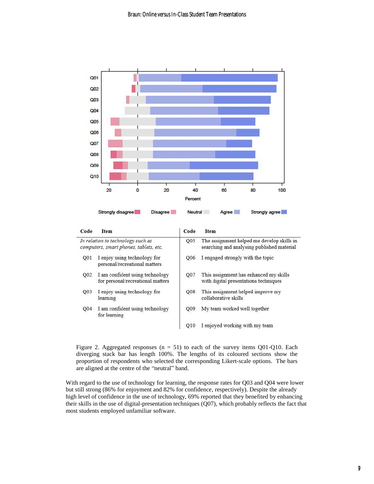

| Code                                                                        | <b>Item</b>                                                          | Code            | <b>Item</b>                                                                              |  |  |
|-----------------------------------------------------------------------------|----------------------------------------------------------------------|-----------------|------------------------------------------------------------------------------------------|--|--|
| In relation to technology such as<br>computers, smart phones, tablets, etc. |                                                                      | Q05             | The assignment helped me develop skills in<br>searching and analysing published material |  |  |
| O01                                                                         | I enjoy using technology for<br>personal/recreational matters        | O <sub>06</sub> | I engaged strongly with the topic                                                        |  |  |
| Q02                                                                         | I am confident using technology<br>for personal/recreational matters | Q07             | This assignment has enhanced my skills<br>with digital presentations techniques          |  |  |
| Q03                                                                         | I enjoy using technology for<br>learning                             | Q08             | This assignment helped improve my<br>collaborative skills                                |  |  |
| O <sub>04</sub>                                                             | I am confident using technology<br>for learning                      | Q09             | My team worked well together                                                             |  |  |
|                                                                             |                                                                      | O <sub>10</sub> | I enjoyed working with my team                                                           |  |  |

Figure 2. Aggregated responses ( $n = 51$ ) to each of the survey items Q01-Q10. Each diverging stack bar has length 100%. The lengths of its coloured sections show the proportion of respondents who selected the corresponding Likert-scale options. The bars are aligned at the centre of the "neutral" band.

With regard to the use of technology for learning, the response rates for Q03 and Q04 were lower but still strong (86% for enjoyment and 82% for confidence, respectively). Despite the already high level of confidence in the use of technology, 69% reported that they benefited by enhancing their skills in the use of digital-presentation techniques (Q07), which probably reflects the fact that most students employed unfamiliar software.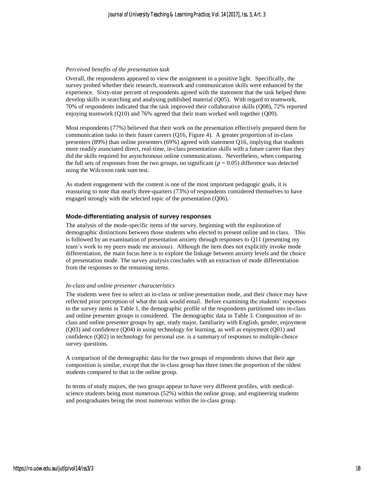#### *Perceived benefits of the presentation task*

Overall, the respondents appeared to view the assignment in a positive light. Specifically, the survey probed whether their research, teamwork and communication skills were enhanced by the experience. Sixty-nine percent of respondents agreed with the statement that the task helped them develop skills in searching and analysing published material (Q05). With regard to teamwork, 70% of respondents indicated that the task improved their collaborative skills (Q08), 72% reported enjoying teamwork (Q10) and 76% agreed that their team worked well together (Q09).

Most respondents (77%) believed that their work on the presentation effectively prepared them for communication tasks in their future careers (Q16, Figure 4). A greater proportion of in-class presenters (89%) than online presenters (69%) agreed with statement Q16, implying that students more readily associated direct, real-time, in-class presentation skills with a future career than they did the skills required for asynchronous online communications. Nevertheless, when comparing the full sets of responses from the two groups, no significant ( $p = 0.05$ ) difference was detected using the Wilcoxon rank sum test.

As student engagement with the content is one of the most important pedagogic goals, it is reassuring to note that nearly three-quarters (73%) of respondents considered themselves to have engaged strongly with the selected topic of the presentation (Q06).

#### **Mode-differentiating analysis of survey responses**

The analysis of the mode-specific items of the survey, beginning with the exploration of demographic distinctions between those students who elected to present online and in class. This is followed by an examination of presentation anxiety through responses to Q11 (presenting my team's work to my peers made me anxious). Although the item does not explicitly invoke mode differentiation, the main focus here is to explore the linkage between anxiety levels and the choice of presentation mode. The survey analysis concludes with an extraction of mode differentiation from the responses to the remaining items.

#### *In-class and online presenter characteristics*

The students were free to select an in-class or online presentation mode, and their choice may have reflected prior perception of what the task would entail. Before examining the students' responses to the survey items in Table 1, the demographic profile of the respondents partitioned into in-class and online presenter groups is considered. The demographic data in Table 3. Composition of inclass and online presenter groups by age, study major, familiarity with English, gender, enjoyment (Q03) and confidence (Q04) in using technology for learning, as well as enjoyment (Q01) and confidence (Q02) in technology for personal use. is a summary of responses to multiple-choice survey questions.

A comparison of the demographic data for the two groups of respondents shows that their age composition is similar, except that the in-class group has three times the proportion of the oldest students compared to that in the online group.

In terms of study majors, the two groups appear to have very different profiles, with medicalscience students being most numerous (52%) within the online group, and engineering students and postgraduates being the most numerous within the in-class group.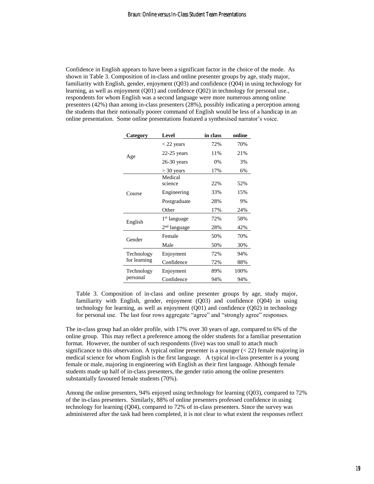Confidence in English appears to have been a significant factor in the choice of the mode. As shown in Table 3. Composition of in-class and online presenter groups by age, study major, familiarity with English, gender, enjoyment (Q03) and confidence (Q04) in using technology for learning, as well as enjoyment (Q01) and confidence (Q02) in technology for personal use., respondents for whom English was a second language were more numerous among online presenters (42%) than among in-class presenters (28%), possibly indicating a perception among the students that their notionally poorer command of English would be less of a handicap in an online presentation. Some online presentations featured a synthesised narrator's voice.

| Category     | Level                    | in class | online |
|--------------|--------------------------|----------|--------|
|              | $<$ 22 years             | 72%      | 70%    |
| Age          | $22-25$ years            | 11%      | 21%    |
|              | $26-30$ years            | $0\%$    | 3%     |
|              | $>$ 30 years             | 17%      | 6%     |
|              | Medical                  |          |        |
|              | science                  | 22%      | 52%    |
| Course       | Engineering              | 33%      | 15%    |
|              | Postgraduate             | 28%      | 9%     |
|              | Other                    | 17%      | 24%    |
| English      | 1 <sup>st</sup> language | 72%      | 58%    |
|              | 2 <sup>nd</sup> language | 28%      | 42%    |
| Gender       | Female                   | 50%      | 70%    |
|              | Male                     | 50%      | 30%    |
| Technology   | Enjoyment                | 72%      | 94%    |
| for learning | Confidence               | 72%      | 88%    |
| Technology   | Enjoyment                | 89%      | 100%   |
| personal     | Confidence               | 94%      | 94%    |

Table 3. Composition of in-class and online presenter groups by age, study major, familiarity with English, gender, enjoyment (Q03) and confidence (Q04) in using technology for learning, as well as enjoyment (Q01) and confidence (Q02) in technology for personal use. The last four rows aggregate "agree" and "strongly agree" responses.

The in-class group had an older profile, with 17% over 30 years of age, compared to 6% of the online group. This may reflect a preference among the older students for a familiar presentation format. However, the number of such respondents (five) was too small to attach much significance to this observation. A typical online presenter is a younger  $(< 22)$  female majoring in medical science for whom English is the first language. A typical in-class presenter is a young female or male, majoring in engineering with English as their first language. Although female students made up half of in-class presenters, the gender ratio among the online presenters substantially favoured female students (70%).

Among the online presenters, 94% enjoyed using technology for learning (Q03), compared to 72% of the in-class presenters. Similarly, 88% of online presenters professed confidence in using technology for learning (Q04), compared to 72% of in-class presenters. Since the survey was administered after the task had been completed, it is not clear to what extent the responses reflect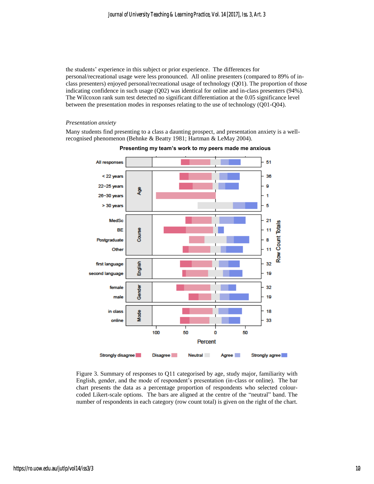the students' experience in this subject or prior experience. The differences for personal/recreational usage were less pronounced. All online presenters (compared to 89% of inclass presenters) enjoyed personal/recreational usage of technology (Q01). The proportion of those indicating confidence in such usage (Q02) was identical for online and in-class presenters (94%). The Wilcoxon rank sum test detected no significant differentiation at the 0.05 significance level between the presentation modes in responses relating to the use of technology (Q01-Q04).

#### *Presentation anxiety*

Many students find presenting to a class a daunting prospect, and presentation anxiety is a wellrecognised phenomenon (Behnke & Beatty 1981; Hartman & LeMay 2004).



**Presenting my team's work to my peers made me anxious**

Figure 3. Summary of responses to Q11 categorised by age, study major, familiarity with English, gender, and the mode of respondent's presentation (in-class or online). The bar chart presents the data as a percentage proportion of respondents who selected colourcoded Likert-scale options. The bars are aligned at the centre of the "neutral" band. The number of respondents in each category (row count total) is given on the right of the chart.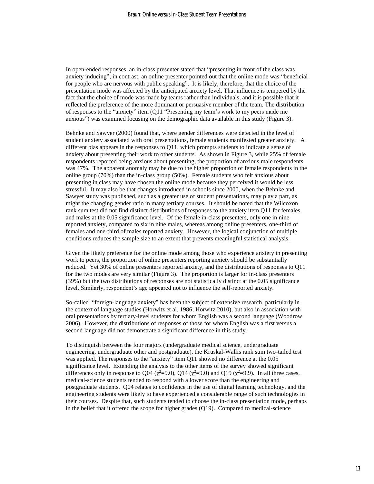In open-ended responses, an in-class presenter stated that "presenting in front of the class was anxiety inducing"; in contrast, an online presenter pointed out that the online mode was "beneficial for people who are nervous with public speaking". It is likely, therefore, that the choice of the presentation mode was affected by the anticipated anxiety level. That influence is tempered by the fact that the choice of mode was made by teams rather than individuals, and it is possible that it reflected the preference of the more dominant or persuasive member of the team. The distribution of responses to the "anxiety" item (Q11 "Presenting my team's work to my peers made me anxious") was examined focusing on the demographic data available in this study (Figure 3).

Behnke and Sawyer (2000) found that, where gender differences were detected in the level of student anxiety associated with oral presentations, female students manifested greater anxiety. A different bias appears in the responses to Q11, which prompts students to indicate a sense of anxiety about presenting their work to other students. As shown in Figure 3, while 25% of female respondents reported being anxious about presenting, the proportion of anxious male respondents was 47%. The apparent anomaly may be due to the higher proportion of female respondents in the online group (70%) than the in-class group (50%). Female students who felt anxious about presenting in class may have chosen the online mode because they perceived it would be less stressful. It may also be that changes introduced in schools since 2000, when the Behnke and Sawyer study was published, such as a greater use of student presentations, may play a part, as might the changing gender ratio in many tertiary courses. It should be noted that the Wilcoxon rank sum test did not find distinct distributions of responses to the anxiety item Q11 for females and males at the 0.05 significance level. Of the female in-class presenters, only one in nine reported anxiety, compared to six in nine males, whereas among online presenters, one-third of females and one-third of males reported anxiety. However, the logical conjunction of multiple conditions reduces the sample size to an extent that prevents meaningful statistical analysis.

Given the likely preference for the online mode among those who experience anxiety in presenting work to peers, the proportion of online presenters reporting anxiety should be substantially reduced. Yet 30% of online presenters reported anxiety, and the distributions of responses to Q11 for the two modes are very similar (Figure 3). The proportion is larger for in-class presenters (39%) but the two distributions of responses are not statistically distinct at the 0.05 significance level. Similarly, respondent's age appeared not to influence the self-reported anxiety.

So-called "foreign-language anxiety" has been the subject of extensive research, particularly in the context of language studies (Horwitz et al. 1986; Horwitz 2010), but also in association with oral presentations by tertiary-level students for whom English was a second language (Woodrow 2006). However, the distributions of responses of those for whom English was a first versus a second language did not demonstrate a significant difference in this study.

To distinguish between the four majors (undergraduate medical science, undergraduate engineering, undergraduate other and postgraduate), the Kruskal-Wallis rank sum two-tailed test was applied. The responses to the "anxiety" item Q11 showed no difference at the 0.05 significance level. Extending the analysis to the other items of the survey showed significant differences only in response to Q04 ( $\chi^2$ =9.0), Q14 ( $\chi^2$ =9.0) and Q19 ( $\chi^2$ =9.9). In all three cases, medical-science students tended to respond with a lower score than the engineering and postgraduate students. Q04 relates to confidence in the use of digital learning technology, and the engineering students were likely to have experienced a considerable range of such technologies in their courses. Despite that, such students tended to choose the in-class presentation mode, perhaps in the belief that it offered the scope for higher grades (Q19). Compared to medical-science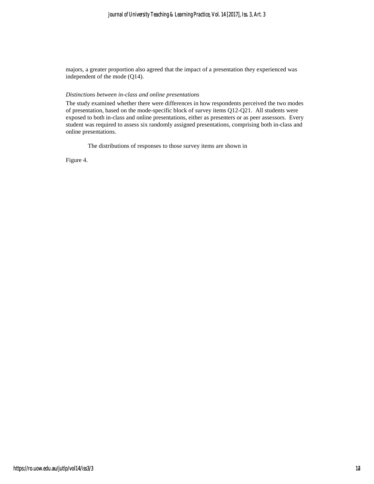#### *Journal of University Teaching & Learning Practice, Vol. 14 [2017], Iss. 3, Art. 3*

majors, a greater proportion also agreed that the impact of a presentation they experienced was independent of the mode (Q14).

#### *Distinctions between in-class and online presentations*

The study examined whether there were differences in how respondents perceived the two modes of presentation, based on the mode-specific block of survey items Q12-Q21. All students were exposed to both in-class and online presentations, either as presenters or as peer assessors. Every student was required to assess six randomly assigned presentations, comprising both in-class and online presentations.

The distributions of responses to those survey items are shown in

Figure 4.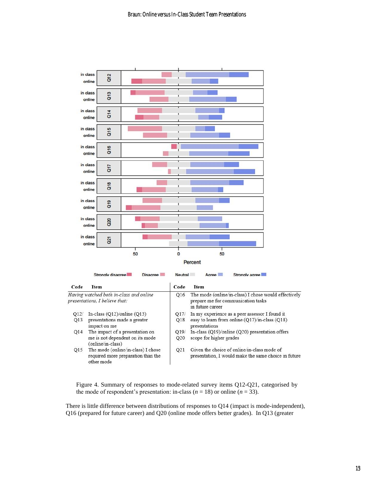

Figure 4. Summary of responses to mode-related survey items Q12-Q21, categorised by the mode of respondent's presentation: in-class ( $n = 18$ ) or online ( $n = 33$ ).

There is little difference between distributions of responses to Q14 (impact is mode-independent), Q16 (prepared for future career) and Q20 (online mode offers better grades). In Q13 (greater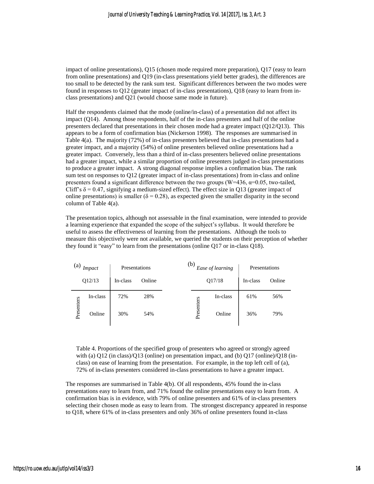impact of online presentations), Q15 (chosen mode required more preparation), Q17 (easy to learn from online presentations) and Q19 (in-class presentations yield better grades), the differences are too small to be detected by the rank sum test. Significant differences between the two modes were found in responses to Q12 (greater impact of in-class presentations), Q18 (easy to learn from inclass presentations) and Q21 (would choose same mode in future).

Half the respondents claimed that the mode (online/in-class) of a presentation did not affect its impact (Q14). Among those respondents, half of the in-class presenters and half of the online presenters declared that presentations in their chosen mode had a greater impact (Q12/Q13). This appears to be a form of confirmation bias (Nickerson 1998). The responses are summarised in Table 4(a). The majority (72%) of in-class presenters believed that in-class presentations had a greater impact, and a majority (54%) of online presenters believed online presentations had a greater impact. Conversely, less than a third of in-class presenters believed online presentations had a greater impact, while a similar proportion of online presenters judged in-class presentations to produce a greater impact. A strong diagonal response implies a confirmation bias. The rank sum test on responses to Q12 (greater impact of in-class presentations) from in-class and online presenters found a significant difference between the two groups ( $W=436$ ,  $\alpha=0.05$ , two-tailed, Cliff's  $\delta$  = 0.47, signifying a medium-sized effect). The effect size in Q13 (greater impact of online presentations) is smaller ( $\delta = 0.28$ ), as expected given the smaller disparity in the second column of [Table 4\(](#page-17-0)a).

The presentation topics, although not assessable in the final examination, were intended to provide a learning experience that expanded the scope of the subject's syllabus. It would therefore be useful to assess the effectiveness of learning from the presentations. Although the tools to measure this objectively were not available, we queried the students on their perception of whether they found it "easy" to learn from the presentations (online Q17 or in-class Q18).

| (a)<br><i>Impact</i> |          | Presentations |        | (b)<br>Ease of learning |          | Presentations |        |
|----------------------|----------|---------------|--------|-------------------------|----------|---------------|--------|
|                      | Q12/13   | In-class      | Online | Q17/18                  |          | In-class      | Online |
|                      | In-class | 72%           | 28%    |                         | In-class | 61%           | 56%    |
| Presenters           | Online   | 30%           | 54%    | Presenters              | Online   | 36%           | 79%    |

<span id="page-17-0"></span>Table 4. Proportions of the specified group of presenters who agreed or strongly agreed with (a) Q12 (in class)/Q13 (online) on presentation impact, and (b) Q17 (online)/Q18 (inclass) on ease of learning from the presentation. For example, in the top left cell of (a), 72% of in-class presenters considered in-class presentations to have a greater impact.

The responses are summarised in [Table 4\(](#page-17-0)b). Of all respondents, 45% found the in-class presentations easy to learn from, and 71% found the online presentations easy to learn from. A confirmation bias is in evidence, with 79% of online presenters and 61% of in-class presenters selecting their chosen mode as easy to learn from. The strongest discrepancy appeared in response to Q18, where 61% of in-class presenters and only 36% of online presenters found in-class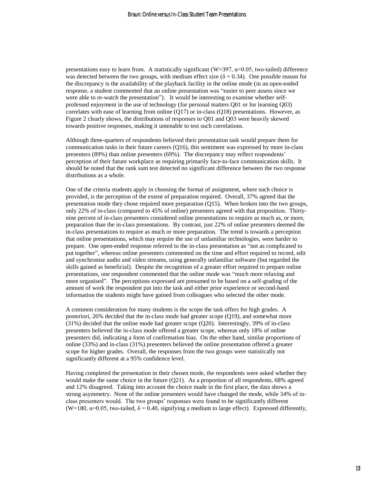presentations easy to learn from. A statistically significant ( $W=397$ ,  $\alpha=0.05$ , two-tailed) difference was detected between the two groups, with medium effect size ( $\delta = 0.34$ ). One possible reason for the discrepancy is the availability of the playback facility in the online mode (in an open-ended response, a student commented that an online presentation was "easier to peer assess since we were able to re-watch the presentation"). It would be interesting to examine whether selfprofessed enjoyment in the use of technology (for personal matters Q01 or for learning Q03) correlates with ease of learning from online (Q17) or in-class (Q18) presentations. However, as Figure 2 clearly shows, the distributions of responses to Q01 and Q03 were heavily skewed towards positive responses, making it untenable to test such correlations.

Although three-quarters of respondents believed their presentation task would prepare them for communication tasks in their future careers (Q16), this sentiment was expressed by more in-class presenters (89%) than online presenters (69%). The discrepancy may reflect respondents' perception of their future workplace as requiring primarily face-to-face communication skills. It should be noted that the rank sum test detected no significant difference between the two response distributions as a whole.

One of the criteria students apply in choosing the format of assignment, where such choice is provided, is the perception of the extent of preparation required. Overall, 37% agreed that the presentation mode they chose required more preparation (Q15). When broken into the two groups, only 22% of in-class (compared to 45% of online) presenters agreed with that proposition. Thirtynine percent of in-class presenters considered online presentations to require as much as, or more, preparation than the in-class presentations. By contrast, just 22% of online presenters deemed the in-class presentations to require as much or more preparation. The trend is towards a perception that online presentations, which may require the use of unfamiliar technologies, were harder to prepare. One open-ended response referred to the in-class presentation as "not as complicated to put together", whereas online presenters commented on the time and effort required to record, edit and synchronise audio and video streams, using generally unfamiliar software (but regarded the skills gained as beneficial). Despite the recognition of a greater effort required to prepare online presentations, one respondent commented that the online mode was "much more relaxing and more organised". The perceptions expressed are presumed to be based on a self-grading of the amount of work the respondent put into the task and either prior experience or second-hand information the students might have gained from colleagues who selected the other mode.

A common consideration for many students is the scope the task offers for high grades. A posteriori, 26% decided that the in-class mode had greater scope (Q19), and somewhat more (31%) decided that the online mode had greater scope (Q20). Interestingly, 39% of in-class presenters believed the in-class mode offered a greater scope, whereas only 18% of online presenters did, indicating a form of confirmation bias. On the other hand, similar proportions of online (33%) and in-class (31%) presenters believed the online presentation offered a greater scope for higher grades. Overall, the responses from the two groups were statistically not significantly different at a 95% confidence level.

Having completed the presentation in their chosen mode, the respondents were asked whether they would make the same choice in the future (Q21). As a proportion of all respondents, 68% agreed and 12% disagreed. Taking into account the choice made in the first place, the data shows a strong asymmetry. None of the online presenters would have changed the mode, while 34% of inclass presenters would. The two groups' responses were found to be significantly different (W=180,  $\alpha$ =0.05, two-tailed,  $\delta$  = 0.40, signifying a medium to large effect). Expressed differently,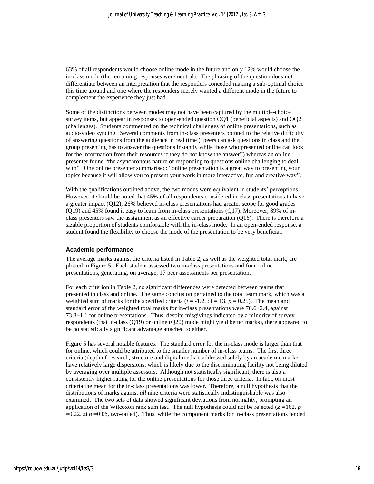63% of all respondents would choose online mode in the future and only 12% would choose the in-class mode (the remaining responses were neutral). The phrasing of the question does not differentiate between an interpretation that the responders conceded making a sub-optimal choice this time around and one where the responders merely wanted a different mode in the future to complement the experience they just had.

Some of the distinctions between modes may not have been captured by the multiple-choice survey items, but appear in responses to open-ended question OQ1 (beneficial aspects) and OQ2 (challenges). Students commented on the technical challenges of online presentations, such as audio-video syncing. Several comments from in-class presenters pointed to the relative difficulty of answering questions from the audience in real time ("peers can ask questions in class and the group presenting has to answer the questions instantly while those who presented online can look for the information from their resources if they do not know the answer") whereas an online presenter found "the asynchronous nature of responding to questions online challenging to deal with". One online presenter summarised: "online presentation is a great way to presenting your topics because it will allow you to present your work in more interactive, fun and creative way".

With the qualifications outlined above, the two modes were equivalent in students' perceptions. However, it should be noted that 45% of all respondents considered in-class presentations to have a greater impact (Q12), 26% believed in-class presentations had greater scope for good grades (Q19) and 45% found it easy to learn from in-class presentations (Q17). Moreover, 89% of inclass presenters saw the assignment as an effective career preparation (Q16). There is therefore a sizable proportion of students comfortable with the in-class mode. In an open-ended response, a student found the flexibility to choose the mode of the presentation to be very beneficial.

#### **Academic performance**

The average marks against the criteria listed in Table 2, as well as the weighted total mark, are plotted in Figure 5. Each student assessed two in-class presentations and four online presentations, generating, on average, 17 peer assessments per presentation.

For each criterion in Table 2, no significant differences were detected between teams that presented in class and online. The same conclusion pertained to the total team mark, which was a weighted sum of marks for the specified criteria ( $t = -1.2$ ,  $df = 13$ ,  $p = 0.25$ ). The mean and standard error of the weighted total marks for in-class presentations were  $70.6\pm2.4$ , against  $73.8\pm1.1$  for online presentations. Thus, despite misgivings indicated by a minority of survey respondents (that in-class (Q19) or online (Q20) mode might yield better marks), there appeared to be no statistically significant advantage attached to either.

Figure 5 has several notable features. The standard error for the in-class mode is larger than that for online, which could be attributed to the smaller number of in-class teams. The first three criteria (depth of research, structure and digital media), addressed solely by an academic marker, have relatively large dispersions, which is likely due to the discriminating facility not being diluted by averaging over multiple assessors. Although not statistically significant, there is also a consistently higher rating for the online presentations for those three criteria. In fact, on most criteria the mean for the in-class presentations was lower. Therefore, a null hypothesis that the distributions of marks against *all* nine criteria were statistically indistinguishable was also examined. The two sets of data showed significant deviations from normality, prompting an application of the Wilcoxon rank sum test. The null hypothesis could not be rejected  $(Z=162, p)$  $=0.22$ , at  $\alpha = 0.05$ , two-tailed). Thus, while the component marks for in-class presentations tended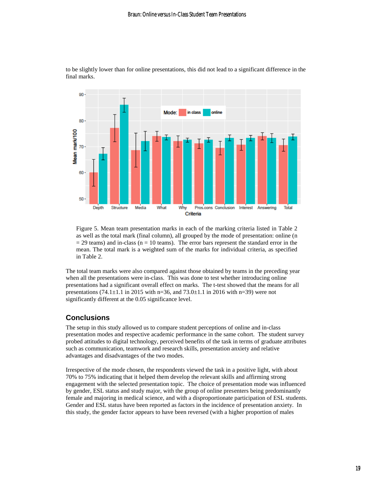

to be slightly lower than for online presentations, this did not lead to a significant difference in the final marks.

Figure 5. Mean team presentation marks in each of the marking criteria listed in Table 2 as well as the total mark (final column), all grouped by the mode of presentation: online (n  $= 29$  teams) and in-class (n  $= 10$  teams). The error bars represent the standard error in the mean. The total mark is a weighted sum of the marks for individual criteria, as specified in Table 2.

The total team marks were also compared against those obtained by teams in the preceding year when all the presentations were in-class. This was done to test whether introducing online presentations had a significant overall effect on marks. The t-test showed that the means for all presentations (74.1 $\pm$ 1.1 in 2015 with n=36, and 73.0 $\pm$ 1.1 in 2016 with n=39) were not significantly different at the 0.05 significance level.

## **Conclusions**

The setup in this study allowed us to compare student perceptions of online and in-class presentation modes and respective academic performance in the same cohort. The student survey probed attitudes to digital technology, perceived benefits of the task in terms of graduate attributes such as communication, teamwork and research skills, presentation anxiety and relative advantages and disadvantages of the two modes.

Irrespective of the mode chosen, the respondents viewed the task in a positive light, with about 70% to 75% indicating that it helped them develop the relevant skills and affirming strong engagement with the selected presentation topic. The choice of presentation mode was influenced by gender, ESL status and study major, with the group of online presenters being predominantly female and majoring in medical science, and with a disproportionate participation of ESL students. Gender and ESL status have been reported as factors in the incidence of presentation anxiety. In this study, the gender factor appears to have been reversed (with a higher proportion of males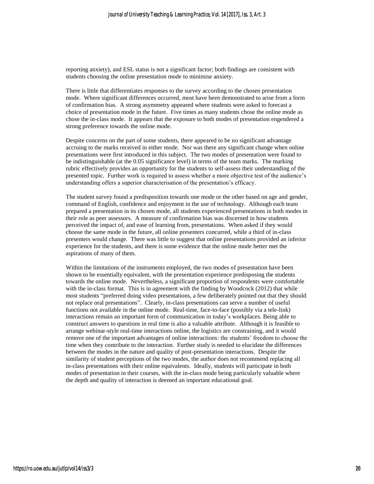reporting anxiety), and ESL status is not a significant factor; both findings are consistent with students choosing the online presentation mode to minimise anxiety.

There is little that differentiates responses to the survey according to the chosen presentation mode. Where significant differences occurred, most have been demonstrated to arise from a form of confirmation bias. A strong asymmetry appeared where students were asked to forecast a choice of presentation mode in the future. Five times as many students chose the online mode as chose the in-class mode. It appears that the exposure to both modes of presentation engendered a strong preference towards the online mode.

Despite concerns on the part of some students, there appeared to be no significant advantage accruing to the marks received in either mode. Nor was there any significant change when online presentations were first introduced in this subject. The two modes of presentation were found to be indistinguishable (at the 0.05 significance level) in terms of the team marks. The marking rubric effectively provides an opportunity for the students to self-assess their understanding of the presented topic. Further work is required to assess whether a more objective test of the audience's understanding offers a superior characterisation of the presentation's efficacy.

The student survey found a predisposition towards one mode or the other based on age and gender, command of English, confidence and enjoyment in the use of technology. Although each team prepared a presentation in its chosen mode, all students experienced presentations in both modes in their role as peer assessors. A measure of confirmation bias was discerned in how students perceived the impact of, and ease of learning from, presentations. When asked if they would choose the same mode in the future, all online presenters concurred, while a third of in-class presenters would change. There was little to suggest that online presentations provided an inferior experience for the students, and there is some evidence that the online mode better met the aspirations of many of them.

Within the limitations of the instruments employed, the two modes of presentation have been shown to be essentially equivalent, with the presentation experience predisposing the students towards the online mode. Nevertheless, a significant proportion of respondents were comfortable with the in-class format. This is in agreement with the finding by Woodcock (2012) that while most students "preferred doing video presentations, a few deliberately pointed out that they should not replace oral presentations". Clearly, in-class presentations can serve a number of useful functions not available in the online mode. Real-time, face-to-face (possibly via a tele-link) interactions remain an important form of communication in today's workplaces. Being able to construct answers to questions in real time is also a valuable attribute. Although it is feasible to arrange webinar-style real-time interactions online, the logistics are constraining, and it would remove one of the important advantages of online interactions: the students' freedom to choose the time when they contribute to the interaction. Further study is needed to elucidate the differences between the modes in the nature and quality of post-presentation interactions. Despite the similarity of student perceptions of the two modes, the author does not recommend replacing all in-class presentations with their online equivalents. Ideally, students will participate in both modes of presentation in their courses, with the in-class mode being particularly valuable where the depth and quality of interaction is deemed an important educational goal.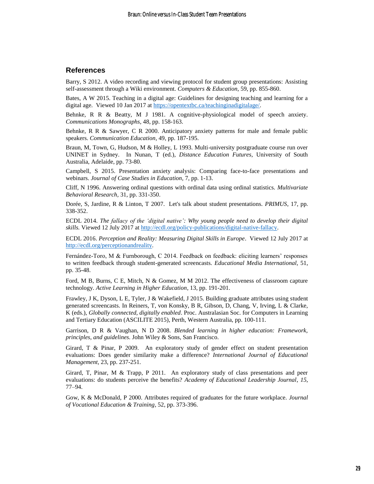#### **References**

Barry, S 2012. A video recording and viewing protocol for student group presentations: Assisting self-assessment through a Wiki environment. *Computers & Education,* 59, pp. 855-860.

Bates, A W 2015. Teaching in a digital age: Guidelines for designing teaching and learning for a digital age. Viewed 10 Jan 2017 at [https://opentextbc.ca/teachinginadigitalage/.](https://opentextbc.ca/teachinginadigitalage/)

Behnke, R R & Beatty, M J 1981. A cognitive-physiological model of speech anxiety. *Communications Monographs,* 48, pp. 158-163.

Behnke, R R & Sawyer, C R 2000. Anticipatory anxiety patterns for male and female public speakers. *Communication Education,* 49, pp. 187-195.

Braun, M, Town, G, Hudson, M & Holley, L 1993. Multi-university postgraduate course run over UNINET in Sydney. In Nunan, T (ed.), *Distance Education Futures*, University of South Australia, Adelaide, pp. 73-80.

Campbell, S 2015. Presentation anxiety analysis: Comparing face-to-face presentations and webinars. *Journal of Case Studies in Education,* 7, pp. 1-13.

Cliff, N 1996. Answering ordinal questions with ordinal data using ordinal statistics. *Multivariate Behavioral Research,* 31, pp. 331-350.

Dorée, S, Jardine, R & Linton, T 2007. Let's talk about student presentations. *PRIMUS*, 17, pp. 338-352.

ECDL 2014. *The fallacy of the 'digital native': Why young people need to develop their digital skills.* Viewed 12 July 2017 at [http://ecdl.org/policy-publications/digital-native-fallacy.](http://ecdl.org/policy-publications/digital-native-fallacy)

ECDL 2016. *Perception and Reality: Measuring Digital Skills in Europe*. Viewed 12 July 2017 at [http://ecdl.org/perceptionandreality.](http://ecdl.org/perceptionandreality)

Fernández-Toro, M & Furnborough, C 2014. Feedback on feedback: eliciting learners' responses to written feedback through student-generated screencasts. *Educational Media International,* 51, pp. 35-48.

Ford, M B, Burns, C E, Mitch, N & Gomez, M M 2012. The effectiveness of classroom capture technology. *Active Learning in Higher Education,* 13, pp. 191-201.

Frawley, J K, Dyson, L E, Tyler, J & Wakefield, J 2015. Building graduate attributes using student generated screencasts. In Reiners, T, von Konsky, B R, Gibson, D, Chang, V, Irving, L & Clarke, K (eds.), *Globally connected, digitally enabled*. Proc. Australasian Soc. for Computers in Learning and Tertiary Education (ASCILITE 2015), Perth, Western Australia, pp. 100-111.

Garrison, D R & Vaughan, N D 2008. *Blended learning in higher education: Framework, principles, and guidelines.* John Wiley & Sons, San Francisco.

Girard, T & Pinar, P 2009. An exploratory study of gender effect on student presentation evaluations: Does gender similarity make a difference? *International Journal of Educational Management,* 23, pp. 237-251.

Girard, T, Pinar, M & Trapp, P 2011. An exploratory study of class presentations and peer evaluations: do students perceive the benefits? *Academy of Educational Leadership Journal*, *15*, 77–94.

Gow, K & McDonald, P 2000. Attributes required of graduates for the future workplace. *Journal of Vocational Education & Training,* 52, pp. 373-396.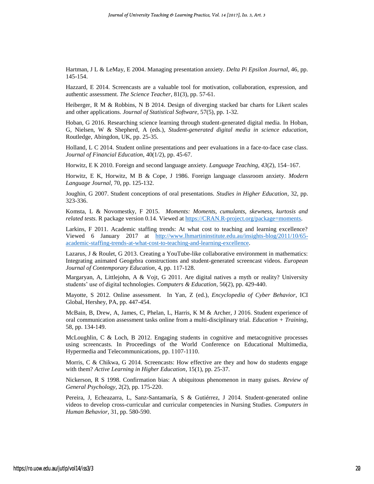Hartman, J L & LeMay, E 2004. Managing presentation anxiety. *Delta Pi Epsilon Journal*, 46, pp. 145-154.

Hazzard, E 2014. Screencasts are a valuable tool for motivation, collaboration, expression, and authentic assessment. *The Science Teacher*, 81(3), pp. 57-61.

Heiberger, R M & Robbins, N B 2014. Design of diverging stacked bar charts for Likert scales and other applications. *Journal of Statistical Software,* 57(5), pp. 1-32.

Hoban, G 2016. Researching science learning through student-generated digital media. In Hoban, G, Nielsen, W & Shepherd, A (eds.), *Student-generated digital media in science education*, Routledge, Abingdon, UK, pp. 25-35.

Holland, L C 2014. Student online presentations and peer evaluations in a face-to-face case class. *Journal of Financial Education*, 40(1/2), pp. 45-67.

Horwitz, E K 2010. Foreign and second language anxiety. *Language Teaching, 43*(2), 154–167.

Horwitz, E K, Horwitz, M B & Cope, J 1986. Foreign language classroom anxiety. *Modern Language Journal,* 70, pp. 125-132.

Joughin, G 2007. Student conceptions of oral presentations. *Studies in Higher Education,* 32, pp. 323-336.

Komsta, L & Novomestky, F 2015. *Moments: Moments, cumulants, skewness, kurtosis and related tests*. R package version 0.14. Viewed at [https://CRAN.R-project.org/package=moments.](https://cran.r-project.org/package=moments)

Larkins, F 2011. Academic staffing trends: At what cost to teaching and learning excellence? Viewed 6 January 2017 at [http://www.lhmartininstitute.edu.au/insights-blog/2011/10/65](http://www.lhmartininstitute.edu.au/insights-blog/2011/10/65-academic-staffing-trends-at-what-cost-to-teaching-and-learning-excellence) [academic-staffing-trends-at-what-cost-to-teaching-and-learning-excellence.](http://www.lhmartininstitute.edu.au/insights-blog/2011/10/65-academic-staffing-trends-at-what-cost-to-teaching-and-learning-excellence)

Lazarus, J & Roulet, G 2013. Creating a YouTube-like collaborative environment in mathematics: Integrating animated Geogebra constructions and student-generated screencast videos. *European Journal of Contemporary Education,* 4, pp. 117-128.

Margaryan, A, Littlejohn, A & Vojt, G 2011. Are digital natives a myth or reality? University students' use of digital technologies. *Computers & Education*, 56(2), pp. 429-440.

Mayotte, S 2012. Online assessment. In Yan, Z (ed.), *Encyclopedia of Cyber Behavior*, ICI Global, Hershey, PA, pp. 447-454.

McBain, B, Drew, A, James, C, Phelan, L, Harris, K M & Archer, J 2016. Student experience of oral communication assessment tasks online from a multi-disciplinary trial. *Education + Training*, 58, pp. 134-149.

McLoughlin, C & Loch, B 2012. Engaging students in cognitive and metacognitive processes using screencasts. In Proceedings of the World Conference on Educational Multimedia, Hypermedia and Telecommunications, pp. 1107-1110.

Morris, C & Chikwa, G 2014. Screencasts: How effective are they and how do students engage with them? *Active Learning in Higher Education,* 15(1), pp. 25-37.

Nickerson, R S 1998. Confirmation bias: A ubiquitous phenomenon in many guises. *Review of General Psychology,* 2(2), pp. 175-220.

Pereira, J, Echeazarra, L, Sanz-Santamaría, S & Gutiérrez, J 2014. Student-generated online videos to develop cross-curricular and curricular competencies in Nursing Studies. *Computers in Human Behavior,* 31, pp. 580-590.